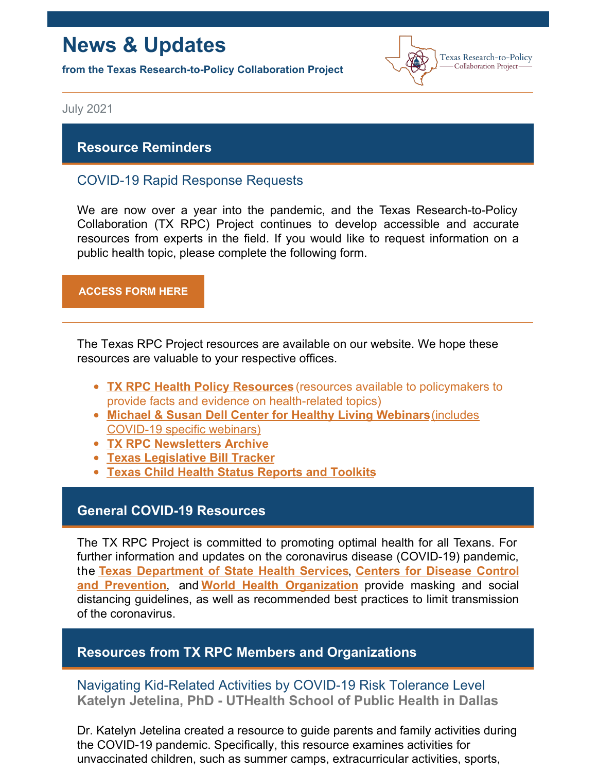# **News & Updates**

**from the Texas Research-to-Policy Collaboration Project**



July 2021

### **Resource Reminders**

# COVID-19 Rapid Response Requests

We are now over a year into the pandemic, and the Texas Research-to-Policy Collaboration (TX RPC) Project continues to develop accessible and accurate resources from experts in the field. If you would like to request information on a public health topic, please complete the following form.

#### **[ACCESS](https://docs.google.com/forms/u/2/d/1Wugxw_5Z2snWP5rEmX4N88dLKRnqrsAPYug_bCWMdCo/viewform?edit_requested=true) FORM HERE**

The Texas RPC Project resources are available on our website. We hope these [r](https://sph.uth.edu/research/centers/dell/webinars/)esources are valuable to your respective offices.

- **TX RPC Health Policy [Resources](https://sph.uth.edu/research/centers/dell/legislative-initiatives/texas-rpc-resources)** (resources available to policymakers to provide facts and evidence on health-related topics)
- **Michael & Susan Dell Center for Healthy Living [Webinars](https://sph.uth.edu/research/centers/dell/webinars/)**(includes COVID-19 specific webinars)
- **TX RPC [Newsletters](https://sph.uth.edu/research/centers/dell/legislative-initiatives/rpc-newsletters) Archive**
- **Texas [Legislative](https://sph.uth.edu/research/centers/dell/87th-texas-legislative-session/index.htm) Bill Tracker**
- **Texas Child Health Status [Reports](https://sph.uth.edu/research/centers/dell/texas-child-health-status-report/index.htm) and Toolkits**

### **General COVID-19 Resources**

The TX RPC Project is committed to promoting optimal health for all Texans. For further information and updates on the coronavirus disease (COVID-19) pandemic, the **Texas [Department](https://dshs.texas.gov/coronavirus/) of State Health Services**, **Centers for Disease Control and Prevention**, and **World Health [Organization](https://www.cdc.gov/coronavirus/2019-ncov/index.html)** provide masking and social distancing guidelines, as well as recommended best practices to limit transmission of the coronavirus.

### **Resources from TX RPC Members and Organizations**

# Navigating Kid-Related Activities by COVID-19 Risk Tolerance Level **Katelyn Jetelina, PhD - UTHealth School of Public Health in Dallas**

Dr. Katelyn Jetelina created a resource to guide parents and family activities during the COVID-19 pandemic. Specifically, this resource examines activities for unvaccinated children, such as summer camps, extracurricular activities, sports,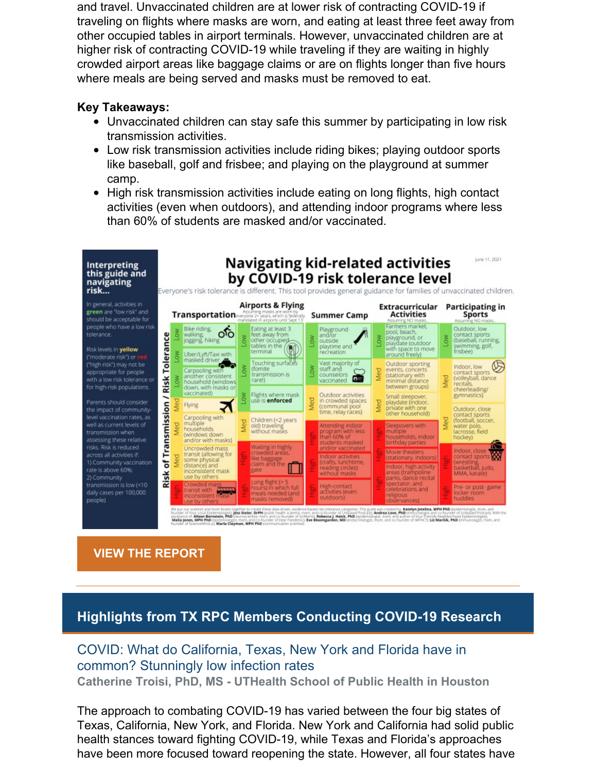and travel. Unvaccinated children are at lower risk of contracting COVID-19 if traveling on flights where masks are worn, and eating at least three feet away from other occupied tables in airport terminals. However, unvaccinated children are at higher risk of contracting COVID-19 while traveling if they are waiting in highly crowded airport areas like baggage claims or are on flights longer than five hours where meals are being served and masks must be removed to eat.

### **Key Takeaways:**

- Unvaccinated children can stay safe this summer by participating in low risk transmission activities.
- Low risk transmission activities include riding bikes; playing outdoor sports like baseball, golf and frisbee; and playing on the playground at summer camp.
- High risk transmission activities include eating on long flights, high contact activities (even when outdoors), and attending indoor programs where less than 60% of students are masked and/or vaccinated.



# **VIEW THE [REPORT](https://yourlocalepidemiologist.substack.com/p/navigating-kid-related-activities)**

# **Highlights from TX RPC Members Conducting COVID-19 Research**

# COVID: What do California, Texas, New York and Florida have in common? Stunningly low infection rates **Catherine Troisi, PhD, MS - UTHealth School of Public Health in Houston**

The approach to combating COVID-19 has varied between the four big states of Texas, California, New York, and Florida. New York and California had solid public health stances toward fighting COVID-19, while Texas and Florida's approaches have been more focused toward reopening the state. However, all four states have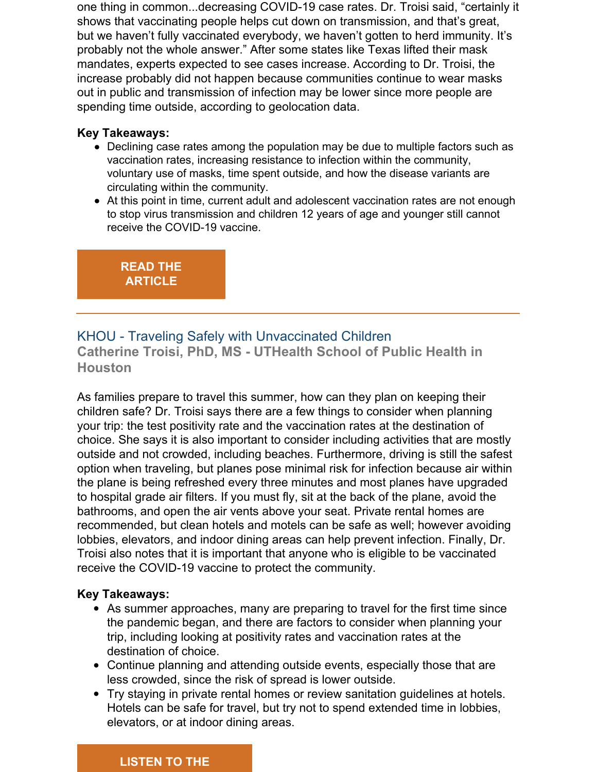one thing in common...decreasing COVID-19 case rates. Dr. Troisi said, "certainly it shows that vaccinating people helps cut down on transmission, and that's great, but we haven't fully vaccinated everybody, we haven't gotten to herd immunity. It's probably not the whole answer." After some states like Texas lifted their mask mandates, experts expected to see cases increase. According to Dr. Troisi, the increase probably did not happen because communities continue to wear masks out in public and transmission of infection may be lower since more people are spending time outside, according to geolocation data.

### **Key Takeaways:**

- Declining case rates among the population may be due to multiple factors such as vaccination rates, increasing resistance to infection within the community, voluntary use of masks, time spent outside, and how the disease variants are circulating within the community.
- At this point in time, current adult and adolescent vaccination rates are not enough to stop virus transmission and children 12 years of age and younger still cannot receive the COVID-19 vaccine.

**READ THE [ARTICLE](https://www.timesheraldonline.com/2021/05/22/covid-what-do-california-texas-new-york-and-florida-have-in-common-stunningly-low-infection-rates/)**

# KHOU - Traveling Safely with Unvaccinated Children

**Catherine Troisi, PhD, MS - UTHealth School of Public Health in Houston**

As families prepare to travel this summer, how can they plan on keeping their children safe? Dr. Troisi says there are a few things to consider when planning your trip: the test positivity rate and the vaccination rates at the destination of choice. She says it is also important to consider including activities that are mostly outside and not crowded, including beaches. Furthermore, driving is still the safest option when traveling, but planes pose minimal risk for infection because air within the plane is being refreshed every three minutes and most planes have upgraded to hospital grade air filters. If you must fly, sit at the back of the plane, avoid the bathrooms, and open the air vents above your seat. Private rental homes are recommended, but clean hotels and motels can be safe as well; however avoiding lobbies, elevators, and indoor dining areas can help prevent infection. Finally, Dr. Troisi also notes that it is important that anyone who is eligible to be vaccinated receive the COVID-19 vaccine to protect the community.

### **Key Takeaways:**

- As summer approaches, many are preparing to travel for the first time since the pandemic began, and there are factors to consider when planning your trip, including looking at positivity rates and vaccination rates at the destination of choice.
- Continue planning and attending outside events, especially those that are less crowded, since the risk of spread is lower outside.
- Try staying in private rental homes or review sanitation guidelines at hotels. Hotels can be safe for travel, but try not to spend extended time in lobbies, elevators, or at indoor dining areas.

# **[LISTEN](https://tinyurl.com/y4kaccnz) TO THE**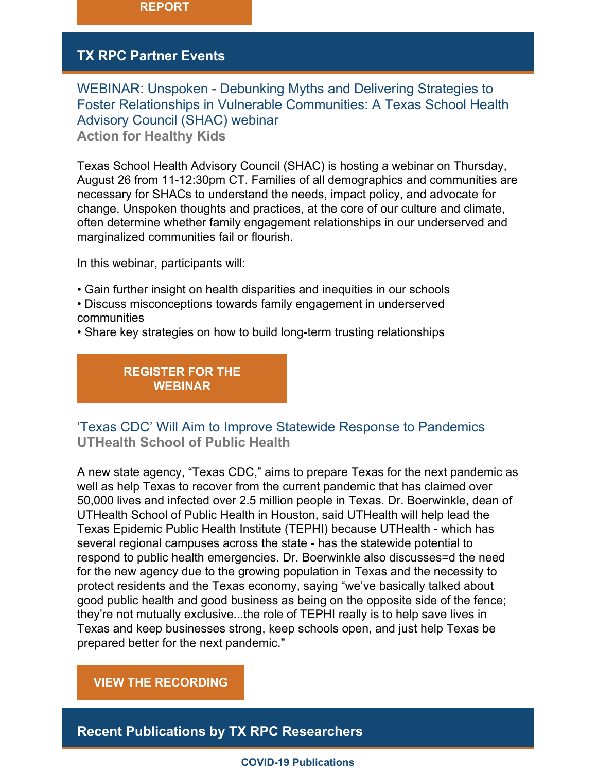

# **TX RPC Partner Events**

WEBINAR: Unspoken - Debunking Myths and Delivering Strategies to Foster Relationships in Vulnerable Communities: A Texas School Health Advisory Council (SHAC) webinar **Action for Healthy Kids**

Texas School Health Advisory Council (SHAC) is hosting a webinar on Thursday, August 26 from 11-12:30pm CT. Families of all demographics and communities are necessary for SHACs to understand the needs, impact policy, and advocate for change. Unspoken thoughts and practices, at the core of our culture and climate, often determine whether family engagement relationships in our underserved and marginalized communities fail or flourish.

In this webinar, participants will:

- Gain further insight on health disparities and inequities in our schools
- Discuss misconceptions towards family engagement in underserved communities
- Share key strategies on how to build long-term trusting relationships

**[REGISTER](https://www.actionforhealthykids.org/event/unspoken-debunking-myths-and-delivering-strategies-to-foster-relationships-in-vulnerable-communities/) FOR THE WEBINAR**

# 'Texas CDC' Will Aim to Improve Statewide Response to Pandemics **UTHealth School of Public Health**

A new state agency, "Texas CDC," aims to prepare Texas for the next pandemic as well as help Texas to recover from the current pandemic that has claimed over 50,000 lives and infected over 2.5 million people in Texas. Dr. Boerwinkle, dean of UTHealth School of Public Health in Houston, said UTHealth will help lead the Texas Epidemic Public Health Institute (TEPHI) because UTHealth - which has several regional campuses across the state - has the statewide potential to respond to public health emergencies. Dr. Boerwinkle also discusses=d the need for the new agency due to the growing population in Texas and the necessity to protect residents and the Texas economy, saying "we've basically talked about good public health and good business as being on the opposite side of the fence; they're not mutually exclusive...the role of TEPHI really is to help save lives in Texas and keep businesses strong, keep schools open, and just help Texas be prepared better for the next pandemic."

### **VIEW THE [RECORDING](https://www.kut.org/texasstandard/2021-06-14/texas-cdc-will-aim-to-improve-statewide-response-to-pandemics)**

**Recent Publications by TX RPC Researchers**

#### **COVID-19 Publications**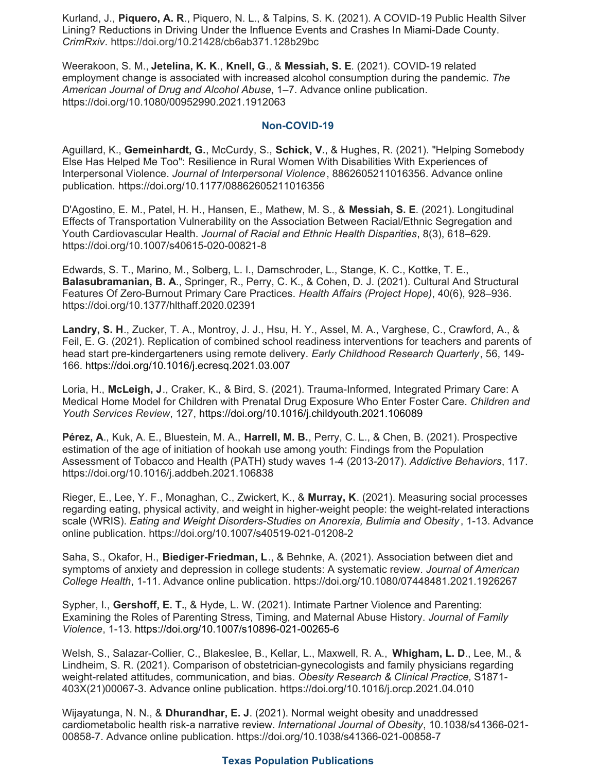Kurland, J., **Piquero, A. R**., Piquero, N. L., & Talpins, S. K. (2021). A COVID-19 Public Health Silver Lining? Reductions in Driving Under the Influence Events and Crashes In Miami-Dade County. *CrimRxiv*. https://doi.org/10.21428/cb6ab371.128b29bc

Weerakoon, S. M., **Jetelina, K. K**., **Knell, G**., & **Messiah, S. E**. (2021). COVID-19 related employment change is associated with increased alcohol consumption during the pandemic. *The American Journal of Drug and Alcohol Abuse*, 1–7. Advance online publication. https://doi.org/10.1080/00952990.2021.1912063

#### **Non-COVID-19**

Aguillard, K., **Gemeinhardt, G.**, McCurdy, S., **Schick, V.**, & Hughes, R. (2021). "Helping Somebody Else Has Helped Me Too": Resilience in Rural Women With Disabilities With Experiences of Interpersonal Violence. *Journal of Interpersonal Violence*, 8862605211016356. Advance online publication. https://doi.org/10.1177/08862605211016356

D'Agostino, E. M., Patel, H. H., Hansen, E., Mathew, M. S., & **Messiah, S. E**. (2021). Longitudinal Effects of Transportation Vulnerability on the Association Between Racial/Ethnic Segregation and Youth Cardiovascular Health. *Journal of Racial and Ethnic Health Disparities*, 8(3), 618–629. https://doi.org/10.1007/s40615-020-00821-8

Edwards, S. T., Marino, M., Solberg, L. I., Damschroder, L., Stange, K. C., Kottke, T. E., **Balasubramanian, B. A**., Springer, R., Perry, C. K., & Cohen, D. J. (2021). Cultural And Structural Features Of Zero-Burnout Primary Care Practices. *Health Affairs (Project Hope)*, 40(6), 928–936. https://doi.org/10.1377/hlthaff.2020.02391

**Landry, S. H**., Zucker, T. A., Montroy, J. J., Hsu, H. Y., Assel, M. A., Varghese, C., Crawford, A., & Feil, E. G. (2021). Replication of combined school readiness interventions for teachers and parents of head start pre-kindergarteners using remote delivery. *Early Childhood Research Quarterly*, 56, 149- 166. <https://doi.org/10.1016/j.ecresq.2021.03.007>

Loria, H., **McLeigh, J**., Craker, K., & Bird, S. (2021). Trauma-Informed, Integrated Primary Care: A Medical Home Model for Children with Prenatal Drug Exposure Who Enter Foster Care. *Children and Youth Services Review*, 127, <https://doi.org/10.1016/j.childyouth.2021.106089>

**Pérez, A**., Kuk, A. E., Bluestein, M. A., **Harrell, M. B.**, Perry, C. L., & Chen, B. (2021). Prospective estimation of the age of initiation of hookah use among youth: Findings from the Population Assessment of Tobacco and Health (PATH) study waves 1-4 (2013-2017). *Addictive Behaviors*, 117. https://doi.org/10.1016/j.addbeh.2021.106838

Rieger, E., Lee, Y. F., Monaghan, C., Zwickert, K., & **Murray, K**. (2021). Measuring social processes regarding eating, physical activity, and weight in higher-weight people: the weight-related interactions scale (WRIS). *Eating and Weight Disorders-Studies on Anorexia, Bulimia and Obesity* , 1-13. Advance online publication. https://doi.org/10.1007/s40519-021-01208-2

Saha, S., Okafor, H., **Biediger-Friedman, L**., & Behnke, A. (2021). Association between diet and symptoms of anxiety and depression in college students: A systematic review. *Journal of American College Health*, 1-11. Advance online publication. https://doi.org/10.1080/07448481.2021.1926267

Sypher, I., **Gershoff, E. T.**, & Hyde, L. W. (2021). Intimate Partner Violence and Parenting: Examining the Roles of Parenting Stress, Timing, and Maternal Abuse History. *Journal of Family Violence*, 1-13. https://doi.org/10.1007/s10896-021-00265-6

Welsh, S., Salazar-Collier, C., Blakeslee, B., Kellar, L., Maxwell, R. A., **Whigham, L. D**., Lee, M., & Lindheim, S. R. (2021). Comparison of obstetrician-gynecologists and family physicians regarding weight-related attitudes, communication, and bias. *Obesity Research & Clinical Practice,* S1871- 403X(21)00067-3. Advance online publication. https://doi.org/10.1016/j.orcp.2021.04.010

Wijayatunga, N. N., & **Dhurandhar, E. J**. (2021). Normal weight obesity and unaddressed cardiometabolic health risk-a narrative review. *International Journal of Obesity*, 10.1038/s41366-021- 00858-7. Advance online publication. https://doi.org/10.1038/s41366-021-00858-7

#### **Texas Population Publications**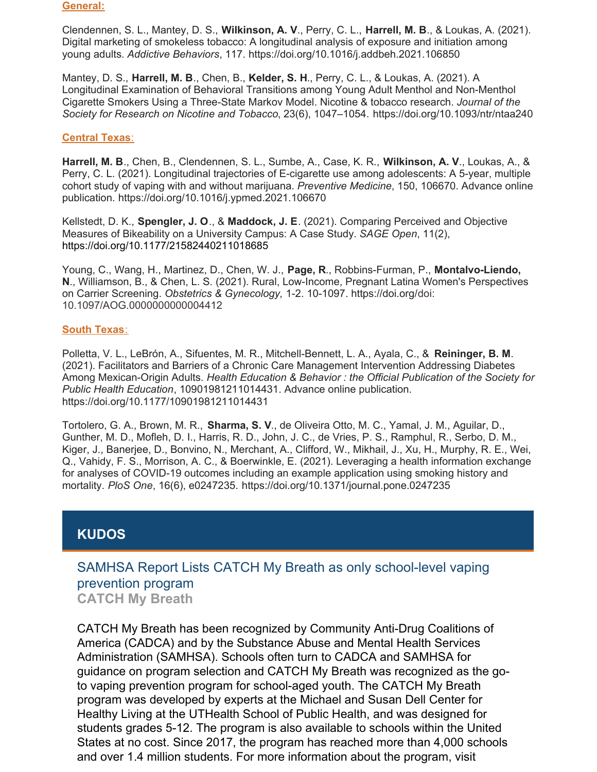#### **General:**

Clendennen, S. L., Mantey, D. S., **Wilkinson, A. V**., Perry, C. L., **Harrell, M. B**., & Loukas, A. (2021). Digital marketing of smokeless tobacco: A longitudinal analysis of exposure and initiation among young adults. *Addictive Behaviors*, 117. https://doi.org/10.1016/j.addbeh.2021.106850

Mantey, D. S., **Harrell, M. B**., Chen, B., **Kelder, S. H**., Perry, C. L., & Loukas, A. (2021). A Longitudinal Examination of Behavioral Transitions among Young Adult Menthol and Non-Menthol Cigarette Smokers Using a Three-State Markov Model. Nicotine & tobacco research. *Journal of the Society for Research on Nicotine and Tobacco*, 23(6), 1047–1054. https://doi.org/10.1093/ntr/ntaa240

#### **Central Texas**:

**Harrell, M. B**., Chen, B., Clendennen, S. L., Sumbe, A., Case, K. R., **Wilkinson, A. V**., Loukas, A., & Perry, C. L. (2021). Longitudinal trajectories of E-cigarette use among adolescents: A 5-year, multiple cohort study of vaping with and without marijuana. *Preventive Medicine*, 150, 106670. Advance online publication. https://doi.org/10.1016/j.ypmed.2021.106670

Kellstedt, D. K., **Spengler, J. O**., & **Maddock, J. E**. (2021). Comparing Perceived and Objective Measures of Bikeability on a University Campus: A Case Study. *SAGE Open*, 11(2), [https://doi.org/10.1177/21582440211018685](https://doi.org/10.1177%2F21582440211018685)

Young, C., Wang, H., Martinez, D., Chen, W. J., **Page, R**., Robbins-Furman, P., **Montalvo-Liendo, N**., Williamson, B., & Chen, L. S. (2021). Rural, Low-Income, Pregnant Latina Women's Perspectives on Carrier Screening. *Obstetrics & Gynecology,* 1-2. 10-1097. https://doi.org/doi: 10.1097/AOG.0000000000004412

#### **South Texas**:

Polletta, V. L., LeBrón, A., Sifuentes, M. R., Mitchell-Bennett, L. A., Ayala, C., & **Reininger, B. M**. (2021). Facilitators and Barriers of a Chronic Care Management Intervention Addressing Diabetes Among Mexican-Origin Adults. *Health Education & Behavior : the Official Publication of the Society for Public Health Education*, 10901981211014431. Advance online publication. https://doi.org/10.1177/10901981211014431

Tortolero, G. A., Brown, M. R., **Sharma, S. V**., de Oliveira Otto, M. C., Yamal, J. M., Aguilar, D., Gunther, M. D., Mofleh, D. I., Harris, R. D., John, J. C., de Vries, P. S., Ramphul, R., Serbo, D. M., Kiger, J., Banerjee, D., Bonvino, N., Merchant, A., Clifford, W., Mikhail, J., Xu, H., Murphy, R. E., Wei, Q., Vahidy, F. S., Morrison, A. C., & Boerwinkle, E. (2021). Leveraging a health information exchange for analyses of COVID-19 outcomes including an example application using smoking history and mortality. *PloS One*, 16(6), e0247235. https://doi.org/10.1371/journal.pone.0247235

# **KUDOS**

SAMHSA Report Lists CATCH My Breath as only school-level vaping prevention program **CATCH My Breath**

CATCH My Breath has been recognized by Community Anti-Drug Coalitions of America (CADCA) and by the Substance Abuse and Mental Health Services Administration (SAMHSA). Schools often turn to CADCA and SAMHSA for guidance on program selection and CATCH My Breath was recognized as the goto vaping prevention program for school-aged youth. The CATCH My Breath program was developed by experts at the Michael and Susan Dell Center for Healthy Living at the UTHealth School of Public Health, and was designed for students grades 5-12. The program is also available to schools within the United States at no cost. Since 2017, the program has reached more than 4,000 schools and over 1.4 million students. For more information about the program, visit